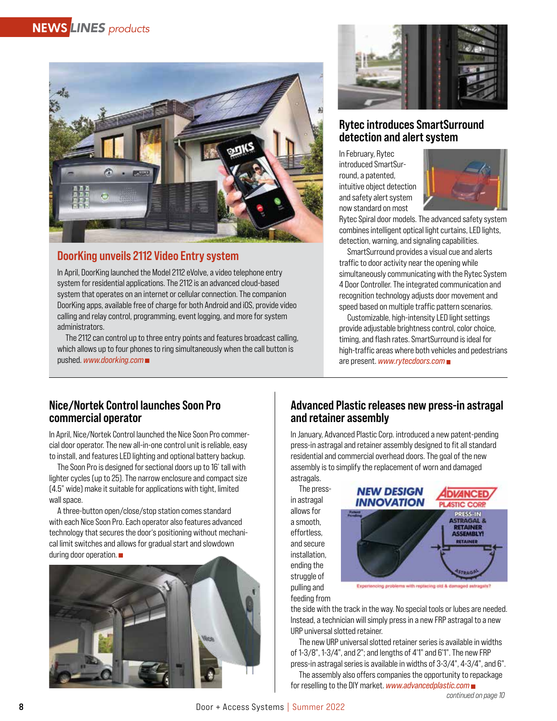

# DoorKing unveils 2112 Video Entry system

In April, DoorKing launched the Model 2112 eVolve, a video telephone entry system for residential applications. The 2112 is an advanced cloud-based system that operates on an internet or cellular connection. The companion DoorKing apps, available free of charge for both Android and iOS, provide video calling and relay control, programming, event logging, and more for system administrators.

The 2112 can control up to three entry points and features broadcast calling, which allows up to four phones to ring simultaneously when the call button is pushed. *www.doorking.com*



# Rytec introduces SmartSurround detection and alert system

In February, Rytec introduced SmartSurround, a patented, intuitive object detection and safety alert system now standard on most



Rytec Spiral door models. The advanced safety system combines intelligent optical light curtains, LED lights, detection, warning, and signaling capabilities.

SmartSurround provides a visual cue and alerts traffic to door activity near the opening while simultaneously communicating with the Rytec System 4 Door Controller. The integrated communication and recognition technology adjusts door movement and speed based on multiple traffic pattern scenarios.

Customizable, high-intensity LED light settings provide adjustable brightness control, color choice, timing, and flash rates. SmartSurround is ideal for high-traffic areas where both vehicles and pedestrians are present. *www.rytecdoors.com*

### Nice/Nortek Control launches Soon Pro commercial operator

In April, Nice/Nortek Control launched the Nice Soon Pro commercial door operator. The new all-in-one control unit is reliable, easy to install, and features LED lighting and optional battery backup.

The Soon Pro is designed for sectional doors up to 16' tall with lighter cycles (up to 25). The narrow enclosure and compact size (4.5" wide) make it suitable for applications with tight, limited wall space.

A three-button open/close/stop station comes standard with each Nice Soon Pro. Each operator also features advanced technology that secures the door's positioning without mechanical limit switches and allows for gradual start and slowdown during door operation.



# Advanced Plastic releases new press-in astragal and retainer assembly

In January, Advanced Plastic Corp. introduced a new patent-pending press-in astragal and retainer assembly designed to fit all standard residential and commercial overhead doors. The goal of the new assembly is to simplify the replacement of worn and damaged astragals.

The pressin astragal allows for a smooth, effortless, and secure installation, ending the struggle of pulling and feeding from



the side with the track in the way. No special tools or lubes are needed. Instead, a technician will simply press in a new FRP astragal to a new URP universal slotted retainer.

The new URP universal slotted retainer series is available in widths of 1-3/8", 1-3/4", and 2"; and lengths of 4'1" and 6'1". The new FRP press-in astragal series is available in widths of 3-3/4", 4-3/4", and 6".

The assembly also offers companies the opportunity to repackage for reselling to the DIY market. *www.advancedplastic.com*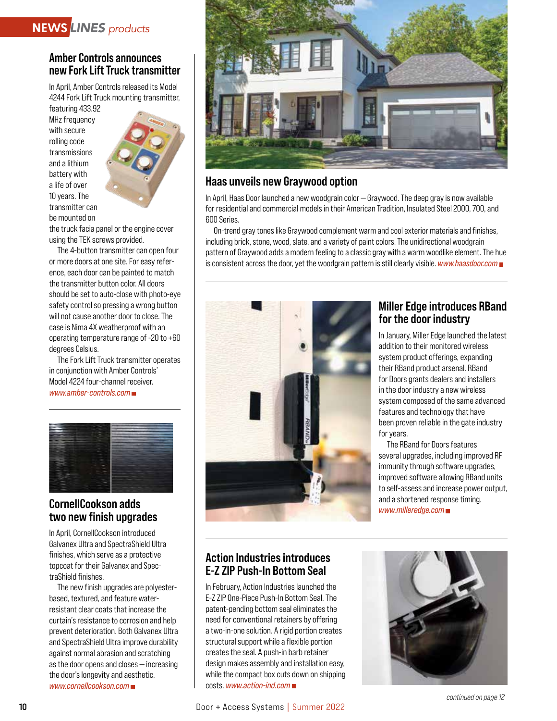# Amber Controls announces new Fork Lift Truck transmitter

In April, Amber Controls released its Model 4244 Fork Lift Truck mounting transmitter,

featuring 433.92 MHz frequency with secure rolling code transmissions and a lithium battery with a life of over 10 years. The transmitter can be mounted on



the truck facia panel or the engine cover using the TEK screws provided.

The 4-button transmitter can open four or more doors at one site. For easy reference, each door can be painted to match the transmitter button color. All doors should be set to auto-close with photo-eye safety control so pressing a wrong button will not cause another door to close. The case is Nima 4X weatherproof with an operating temperature range of -20 to +60 degrees Celsius.

The Fork Lift Truck transmitter operates in conjunction with Amber Controls' Model 4224 four-channel receiver. *www.amber-controls.com*



# CornellCookson adds two new finish upgrades

In April, CornellCookson introduced Galvanex Ultra and SpectraShield Ultra finishes, which serve as a protective topcoat for their Galvanex and SpectraShield finishes.

The new finish upgrades are polyesterbased, textured, and feature waterresistant clear coats that increase the curtain's resistance to corrosion and help prevent deterioration. Both Galvanex Ultra and SpectraShield Ultra improve durability against normal abrasion and scratching as the door opens and closes — increasing the door's longevity and aesthetic. *www.cornellcookson.com*



# Haas unveils new Graywood option

In April, Haas Door launched a new woodgrain color — Graywood. The deep gray is now available for residential and commercial models in their American Tradition, Insulated Steel 2000, 700, and 600 Series.

On-trend gray tones like Graywood complement warm and cool exterior materials and finishes, including brick, stone, wood, slate, and a variety of paint colors. The unidirectional woodgrain pattern of Graywood adds a modern feeling to a classic gray with a warm woodlike element. The hue is consistent across the door, yet the woodgrain pattern is still clearly visible. *www.haasdoor.com*



# Miller Edge introduces RBand for the door industry

In January, Miller Edge launched the latest addition to their monitored wireless system product offerings, expanding their RBand product arsenal. RBand for Doors grants dealers and installers in the door industry a new wireless system composed of the same advanced features and technology that have been proven reliable in the gate industry for years.

The RBand for Doors features several upgrades, including improved RF immunity through software upgrades, improved software allowing RBand units to self-assess and increase power output, and a shortened response timing. *www.milleredge.com*

# Action Industries introduces E-Z ZIP Push-In Bottom Seal

In February, Action Industries launched the E-Z ZIP One-Piece Push-In Bottom Seal. The patent-pending bottom seal eliminates the need for conventional retainers by offering a two-in-one solution. A rigid portion creates structural support while a flexible portion creates the seal. A push-in barb retainer design makes assembly and installation easy, while the compact box cuts down on shipping costs. *www.action-ind.com* 

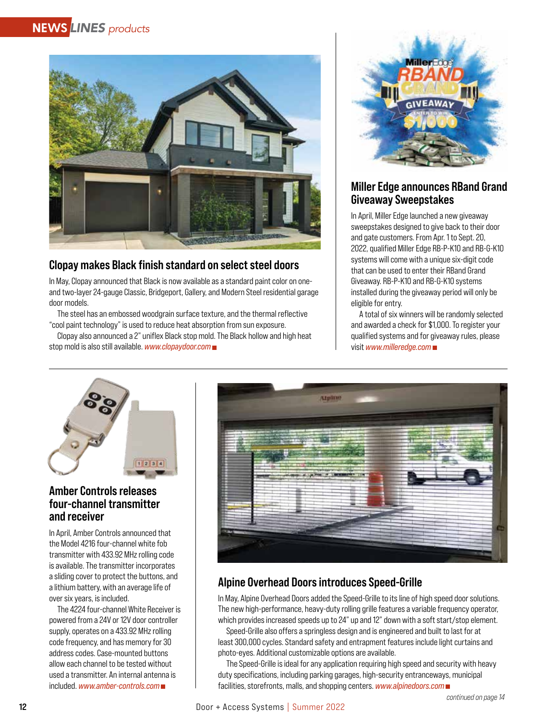

# Clopay makes Black finish standard on select steel doors

In May, Clopay announced that Black is now available as a standard paint color on oneand two-layer 24-gauge Classic, Bridgeport, Gallery, and Modern Steel residential garage door models.

The steel has an embossed woodgrain surface texture, and the thermal reflective "cool paint technology" is used to reduce heat absorption from sun exposure.

Clopay also announced a 2" uniflex Black stop mold. The Black hollow and high heat stop mold is also still available. *www.clopaydoor.com*



# Miller Edge announces RBand Grand Giveaway Sweepstakes

In April, Miller Edge launched a new giveaway sweepstakes designed to give back to their door and gate customers. From Apr. 1 to Sept. 20, 2022, qualified Miller Edge RB-P-K10 and RB-G-K10 systems will come with a unique six-digit code that can be used to enter their RBand Grand Giveaway. RB-P-K10 and RB-G-K10 systems installed during the giveaway period will only be eligible for entry.

A total of six winners will be randomly selected and awarded a check for \$1,000. To register your qualified systems and for giveaway rules, please visit *www.milleredge.com* 



# Amber Controls releases four-channel transmitter and receiver

In April, Amber Controls announced that the Model 4216 four-channel white fob transmitter with 433.92 MHz rolling code is available. The transmitter incorporates a sliding cover to protect the buttons, and a lithium battery, with an average life of over six years, is included.

The 4224 four-channel White Receiver is powered from a 24V or 12V door controller supply, operates on a 433.92 MHz rolling code frequency, and has memory for 30 address codes. Case-mounted buttons allow each channel to be tested without used a transmitter. An internal antenna is included. *www.amber-controls.com*



# Alpine Overhead Doors introduces Speed-Grille

In May, Alpine Overhead Doors added the Speed-Grille to its line of high speed door solutions. The new high-performance, heavy-duty rolling grille features a variable frequency operator, which provides increased speeds up to 24" up and 12" down with a soft start/stop element.

Speed-Grille also offers a springless design and is engineered and built to last for at least 300,000 cycles. Standard safety and entrapment features include light curtains and photo-eyes. Additional customizable options are available.

The Speed-Grille is ideal for any application requiring high speed and security with heavy duty specifications, including parking garages, high-security entranceways, municipal facilities, storefronts, malls, and shopping centers. *www.alpinedoors.com*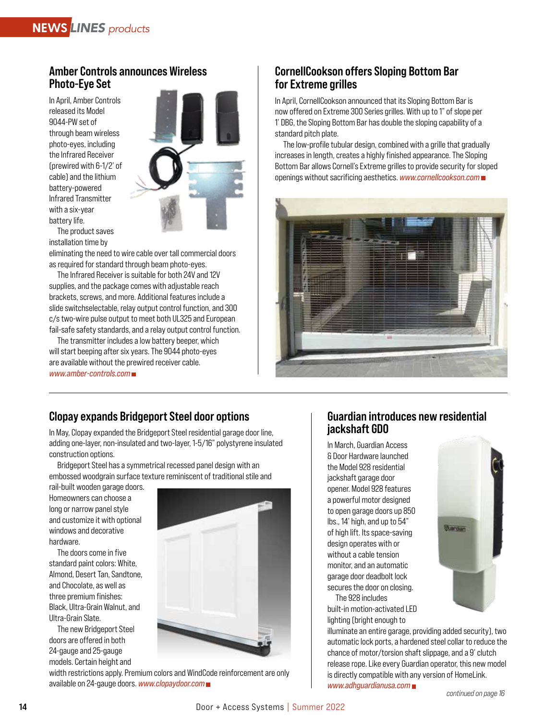#### Amber Controls announces Wireless Photo-Eye Set

In April, Amber Controls released its Model 9044-PW set of through beam wireless photo-eyes, including the Infrared Receiver (prewired with 6-1/2' of cable) and the lithium battery-powered Infrared Transmitter with a six-year battery life.



The product saves installation time by

eliminating the need to wire cable over tall commercial doors as required for standard through beam photo-eyes.

The Infrared Receiver is suitable for both 24V and 12V supplies, and the package comes with adjustable reach brackets, screws, and more. Additional features include a slide switchselectable, relay output control function, and 300 c/s two-wire pulse output to meet both UL325 and European fail-safe safety standards, and a relay output control function.

The transmitter includes a low battery beeper, which will start beeping after six years. The 9044 photo-eyes are available without the prewired receiver cable. *www.amber-controls.com*

# CornellCookson offers Sloping Bottom Bar for Extreme grilles

In April, CornellCookson announced that its Sloping Bottom Bar is now offered on Extreme 300 Series grilles. With up to 1" of slope per 1' DBG, the Sloping Bottom Bar has double the sloping capability of a standard pitch plate.

The low-profile tubular design, combined with a grille that gradually increases in length, creates a highly finished appearance. The Sloping Bottom Bar allows Cornell's Extreme grilles to provide security for sloped openings without sacrificing aesthetics. *www.cornellcookson.com*



# Clopay expands Bridgeport Steel door options

In May, Clopay expanded the Bridgeport Steel residential garage door line, adding one-layer, non-insulated and two-layer, 1-5/16" polystyrene insulated construction options.

Bridgeport Steel has a symmetrical recessed panel design with an embossed woodgrain surface texture reminiscent of traditional stile and

rail-built wooden garage doors. Homeowners can choose a long or narrow panel style and customize it with optional windows and decorative hardware.

The doors come in five standard paint colors: White, Almond, Desert Tan, Sandtone, and Chocolate, as well as three premium finishes: Black, Ultra-Grain Walnut, and Ultra-Grain Slate.

The new Bridgeport Steel doors are offered in both 24-gauge and 25-gauge models. Certain height and



#### width restrictions apply. Premium colors and WindCode reinforcement are only available on 24-gauge doors. *www.clopaydoor.com*

# Guardian introduces new residential jackshaft GDO

In March, Guardian Access & Door Hardware launched the Model 928 residential jackshaft garage door opener. Model 928 features a powerful motor designed to open garage doors up 850 lbs., 14' high, and up to 54" of high lift. Its space-saving design operates with or without a cable tension monitor, and an automatic garage door deadbolt lock secures the door on closing.

The 928 includes built-in motion-activated LED lighting (bright enough to

illuminate an entire garage, providing added security), two automatic lock ports, a hardened steel collar to reduce the chance of motor/torsion shaft slippage, and a 9' clutch release rope. Like every Guardian operator, this new model is directly compatible with any version of HomeLink. *www.adhguardianusa.com*

**Buardian**